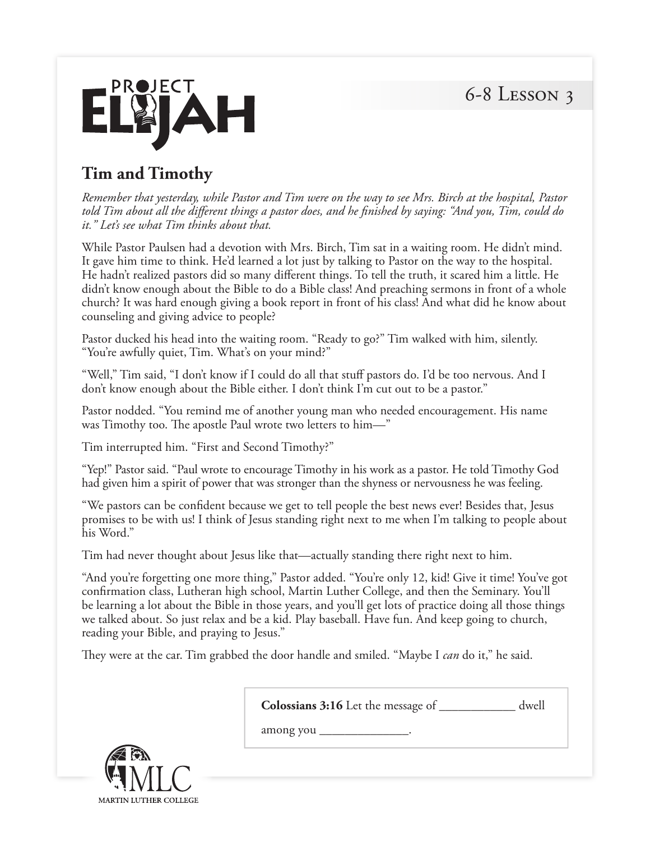6-8 Lesson 3



## **Tim and Timothy**

*Remember that yesterday, while Pastor and Tim were on the way to see Mrs. Birch at the hospital, Pastor told Tim about all the different things a pastor does, and he finished by saying: "And you, Tim, could do it." Let's see what Tim thinks about that.*

While Pastor Paulsen had a devotion with Mrs. Birch, Tim sat in a waiting room. He didn't mind. It gave him time to think. He'd learned a lot just by talking to Pastor on the way to the hospital. He hadn't realized pastors did so many different things. To tell the truth, it scared him a little. He didn't know enough about the Bible to do a Bible class! And preaching sermons in front of a whole church? It was hard enough giving a book report in front of his class! And what did he know about counseling and giving advice to people?

Pastor ducked his head into the waiting room. "Ready to go?" Tim walked with him, silently. "You're awfully quiet, Tim. What's on your mind?"

"Well," Tim said, "I don't know if I could do all that stuff pastors do. I'd be too nervous. And I don't know enough about the Bible either. I don't think I'm cut out to be a pastor."

Pastor nodded. "You remind me of another young man who needed encouragement. His name was Timothy too. The apostle Paul wrote two letters to him—"

Tim interrupted him. "First and Second Timothy?"

"Yep!" Pastor said. "Paul wrote to encourage Timothy in his work as a pastor. He told Timothy God had given him a spirit of power that was stronger than the shyness or nervousness he was feeling.

"We pastors can be confident because we get to tell people the best news ever! Besides that, Jesus promises to be with us! I think of Jesus standing right next to me when I'm talking to people about his Word."

Tim had never thought about Jesus like that—actually standing there right next to him.

"And you're forgetting one more thing," Pastor added. "You're only 12, kid! Give it time! You've got confirmation class, Lutheran high school, Martin Luther College, and then the Seminary. You'll be learning a lot about the Bible in those years, and you'll get lots of practice doing all those things we talked about. So just relax and be a kid. Play baseball. Have fun. And keep going to church, reading your Bible, and praying to Jesus."

They were at the car. Tim grabbed the door handle and smiled. "Maybe I *can* do it," he said.

| Colossians 3:16 Let the message of<br>dwell |
|---------------------------------------------|
| among you                                   |
|                                             |